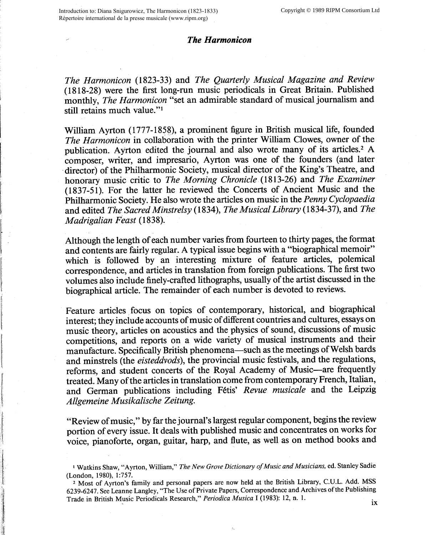## *The Harmonicon*

*The Harmonicon* (1823-33) and *The Quarterly Musical Magazine and Review*  (1818-28) were the first long-run music periodicals in Great Britain. Published monthly, *The Harmonicon* "set an admirable standard of musical journalism and still retains much value."<sup>1</sup>

William Ayrton (1777-1858), a prominent figure in British musical life, founded *The Harmonicon* in collaboration with the printer William Clowes, owner of the publication. Ayrton edited the journal and also wrote many of its articles.2 <sup>A</sup> composer, writer, and impresario, Ayrton was one of the founders (and later director) of the Philharmonic Society, musical director of the King's Theatre, and honorary music critic to *The Morning Chronicle* (1813-26) and *The Examiner*  (1837-51). For the latter he reviewed the Concerts of Ancient Music and the Philharmonic Society. He also wrote the articles on music in the *Penny Cyclopaedia*  and edited *The Sacred Minstrelsy* (1834), *The Musical Library* (1834-37), and *The M adrigalian Feast* ( 1838).

Although the length of each number varies from fourteen to thirty pages, the format and contents are fairly regular. A typical issue begins with a "biographical memoir" which is followed by an interesting mixture of feature articles, polemical correspondence, and articles in translation from foreign publications. The first two volumes also include finely-crafted lithographs, usually of the artist discussed in the biographical article. The remainder of each number is devoted to reviews.

Feature articles focus on topics of contemporary, historical, and biographical interest; they include accounts of music of different countries and cultures, essays on music theory, articles on acoustics and the physics of sound, discussions of music competitions, and reports on a wide variety of musical instruments and their manufacture. Specifically British phenomena—such as the meetings of Welsh bards and minstrels (the *eisteddvods),* the provincial music festivals, and the regulations, reforms, and student concerts of the Royal Academy of Music-are frequently treated. Many of the articles in translation come from contemporary French, Italian, and German publications including Fetis' *Revue musicale* and the Leipzig *Allgemeine Musikalische Zeitung.* 

"Review of music," by far the journal's largest regular component, begins the review portion of every issue. It deals with published music and concentrates on works for voice, pianoforte, organ, guitar, harp, and flute, as well as on method books and

<sup>1</sup>Watkins Shaw, "Ayrton, William," *The New Grove Dictionary of Music and Musicians,* ed. Stanley Sadie (London, 1980), 1:757.

<sup>&</sup>lt;sup>2</sup> Most of Ayrton's family and personal papers are now held at the British Library, C.U.L. Add. MSS 6239-6247. See Leanne Langley, "The Use of Private Papers, Correspondence and Archives of the Publishing Trade in British Music Periodicals Research," *Periodica Musica* I (1983): 12, n. 1. **ix**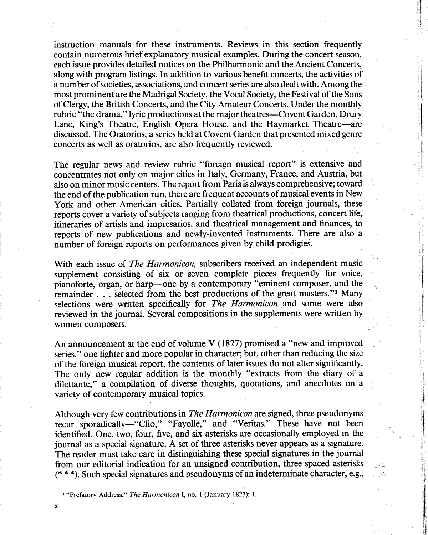instruction manuals for these instruments. Reviews in this section frequently contain numerous brief explanatory musical examples. During the concert season, each issue provides detailed notices on the Philharmonic and the Ancient Concerts, along with program listings. In addition to various benefit concerts, the activities of a number of societies, associations, and concert series are also dealt with. Among the most prominent are the Madrigal Society, the Vocal Society, the Festival of the Sons of Clergy, the British Concerts, and the City Amateur Concerts. Under the monthly rubric "the drama," lyric productions at the major theatres—Covent Garden, Drury Lane, King's Theatre, English Opera House, and the Haymarket Theatre—are discussed. The Oratorios, a series held at Covent Garden that presented mixed genre concerts as well as oratorios, are also frequently reviewed.

The regular news and review rubric "foreign musical report" is extensive and concentrates not only on major cities in Italy, Germany, France, and Austria, but also on minor music centers. The report from Paris is always comprehensive; toward the end of the publication run, there are frequent accounts of musical events in New York and other American cities. Partially collated from foreign journals, these reports cover a variety of subjects ranging from theatrical productions, concert life, itineraries of artists and impresarios, and theatrical management and finances, to reports of new publications and newly-invented instruments. There are also a number of foreign reports on performances given by child prodigies.

With each issue of *The Harmonicon*, subscribers received an independent music supplement consisting of six or seven complete pieces frequently for voice, pianoforte, organ, or harp-one by a contemporary "eminent composer, and the remainder . . . selected from the best productions of the great masters." Many selections were written specifically for *The Harmonicon* and some were also reviewed in the journal. Several compositions in the supplements were written by women composers.

An announcement at the end of volume V (1827) promised a "new and improved series," one lighter and more popular in character; but, other than reducing the size of the foreign musical report, the contents of later issues do not alter significantly. The only new regular addition is the monthly "extracts from the diary of <sup>a</sup> dilettante," a compilation of diverse thoughts, quotations, and anecdotes on a variety of contemporary musical topics.

Although very few contributions in *The Harmonicon* are signed, three pseudonyms recur sporadically-"Clio," "Fayolle," and "Veritas." These have not been identified. One, two, four, five, and six asterisks are occasionally employed in the journal as a special signature. A set of three asterisks never appears as a signature. The reader must take care in distinguishing these special signatures in the journal from our editorial indication for an unsigned contribution, three spaced asterisks (\*\*\*).Such special signatures and pseudonyms of an indeterminate character, e.g.,

<sup>3</sup>"Prefatory Address," *The Harmonicon* I, no. 1 (January 1823): 1.

X